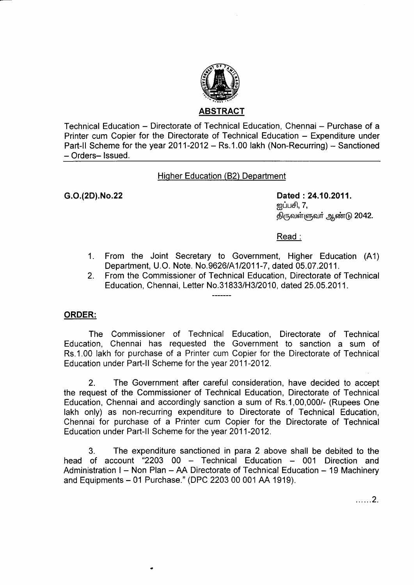

Technical Education – Directorate of Technical Education, Chennai – Purchase of a Printer cum Copier for the Directorate of Technical Education - Expenditure under Part-II Scheme for the year  $2011-2012$  – Rs.1.00 lakh (Non-Recurring) – Sanctioned - Orders- Issued.

# Higher Education (B2) Department

G.O.(2D).No.22 Dated :24.10.2011. றுப்பசி,  $7,$ திருவள்ளுவர் ஆண்டு 2042.

Read :

- 1. From the Joint Secretary to Government, Higher Education (A1) Department, U.O. Note. No.9626/A112011-7, dated 05.07.2011.
- 2. From the Commissioner of Technical Education, Directorate of Technical Education, Chennai, Letter No.31833/H3/2010, dated 25.05.2011.

### ORDER:

The Commissioner of Technical Education, Directorate of Technical Education, Chennai has requested the Government to sanction a sum of Rs.1.00 lakh for purchase of a Printer cum Copier for the Directorate of Technical Education under Part-ll Scheme for the year 2011-2012.

2. The Government after careful consideration, have decided to accept the request of the Commissioner of Technical Education, Directorate of Technical Education, Chennai and accordingly sanction a sum of Rs.1,00,000/- (Rupees One lakh only) as non-recurring expenditure to Directorate of Technical Education, Chennai for purchase of a Printer cum Copier for the Directorate of Technical Education under Part-ll Scheme for the year 2011-2012.

3. The expenditure sanctioned in para 2 above shall be debited to the head of account "2203 00  $-$  Technical Education  $-$  001 Direction and Administration I - Non Plan - AA Directorate of Technical Education - 19 Machinery and Equipments - 01 Purchase." (DPC 2203 00 001 AA 1919).

 $\ldots$ ...2.